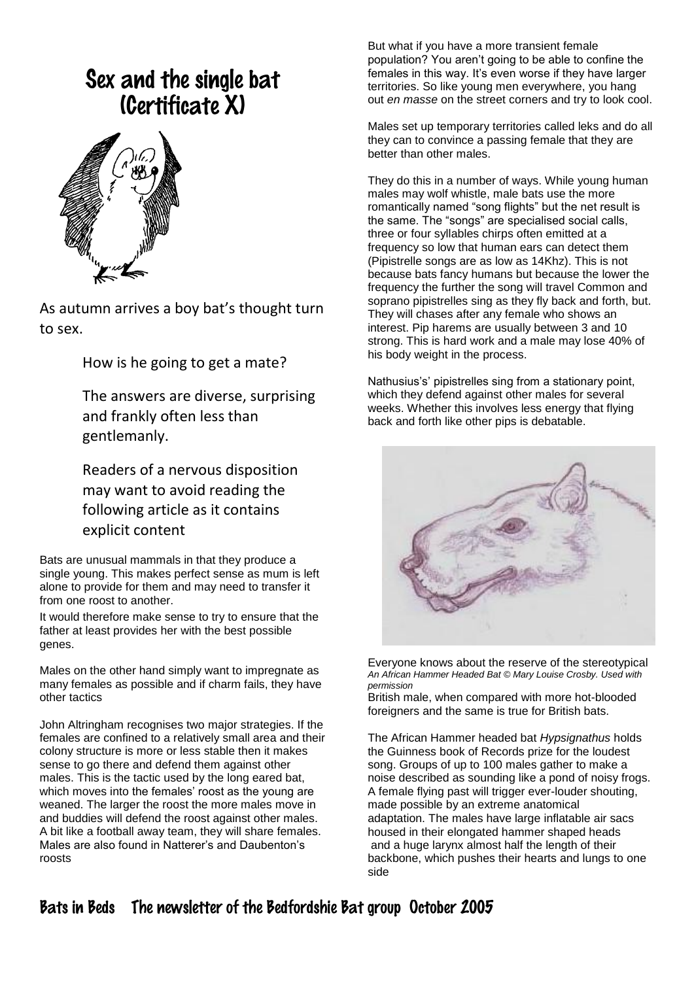# Sex and the single bat (Certificate X)



As autumn arrives a boy bat's thought turn to sex.

How is he going to get a mate?

The answers are diverse, surprising and frankly often less than gentlemanly.

Readers of a nervous disposition may want to avoid reading the following article as it contains explicit content

Bats are unusual mammals in that they produce a single young. This makes perfect sense as mum is left alone to provide for them and may need to transfer it from one roost to another.

It would therefore make sense to try to ensure that the father at least provides her with the best possible genes.

Males on the other hand simply want to impregnate as many females as possible and if charm fails, they have other tactics

John Altringham recognises two major strategies. If the females are confined to a relatively small area and their colony structure is more or less stable then it makes sense to go there and defend them against other males. This is the tactic used by the long eared bat, which moves into the females' roost as the young are weaned. The larger the roost the more males move in and buddies will defend the roost against other males. A bit like a football away team, they will share females. Males are also found in Natterer's and Daubenton's roosts

But what if you have a more transient female population? You aren't going to be able to confine the females in this way. It's even worse if they have larger territories. So like young men everywhere, you hang out *en masse* on the street corners and try to look cool.

Males set up temporary territories called leks and do all they can to convince a passing female that they are better than other males.

They do this in a number of ways. While young human males may wolf whistle, male bats use the more romantically named "song flights" but the net result is the same. The "songs" are specialised social calls, three or four syllables chirps often emitted at a frequency so low that human ears can detect them (Pipistrelle songs are as low as 14Khz). This is not because bats fancy humans but because the lower the frequency the further the song will travel Common and soprano pipistrelles sing as they fly back and forth, but. They will chases after any female who shows an interest. Pip harems are usually between 3 and 10 strong. This is hard work and a male may lose 40% of his body weight in the process.

Nathusius's' pipistrelles sing from a stationary point, which they defend against other males for several weeks. Whether this involves less energy that flying back and forth like other pips is debatable.



Everyone knows about the reserve of the stereotypical *An African Hammer Headed Bat © Mary Louise Crosby. Used with permission*

British male, when compared with more hot-blooded foreigners and the same is true for British bats.

The African Hammer headed bat *Hypsignathus* holds the Guinness book of Records prize for the loudest song. Groups of up to 100 males gather to make a noise described as sounding like a pond of noisy frogs. A female flying past will trigger ever-louder shouting, made possible by an extreme anatomical adaptation. The males have large inflatable air sacs housed in their elongated hammer shaped heads and a huge larynx almost half the length of their backbone, which pushes their hearts and lungs to one side

# Bats in Beds The newsletter of the Bedfordshie Bat group October 2005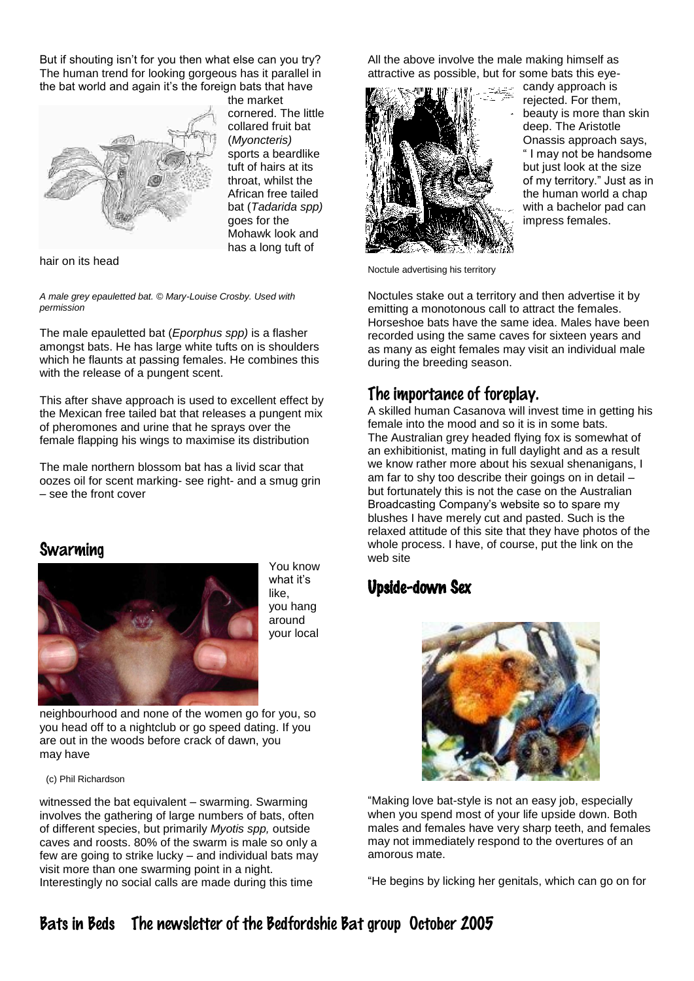But if shouting isn't for you then what else can you try? The human trend for looking gorgeous has it parallel in the bat world and again it's the foreign bats that have



the market cornered. The little collared fruit bat (*Myoncteris)* sports a beardlike tuft of hairs at its throat, whilst the African free tailed bat (*Tadarida spp)*  goes for the Mohawk look and has a long tuft of

hair on its head

*A male grey epauletted bat. © Mary-Louise Crosby. Used with permission*

The male epauletted bat (*Eporphus spp)* is a flasher amongst bats. He has large white tufts on is shoulders which he flaunts at passing females. He combines this with the release of a pungent scent.

This after shave approach is used to excellent effect by the Mexican free tailed bat that releases a pungent mix of pheromones and urine that he sprays over the female flapping his wings to maximise its distribution

The male northern blossom bat has a livid scar that oozes oil for scent marking- see right- and a smug grin – see the front cover

#### Swarming



You know what it's like, you hang around your local

neighbourhood and none of the women go for you, so you head off to a nightclub or go speed dating. If you are out in the woods before crack of dawn, you may have

(c) Phil Richardson

witnessed the bat equivalent – swarming. Swarming involves the gathering of large numbers of bats, often of different species, but primarily *Myotis spp,* outside caves and roosts. 80% of the swarm is male so only a few are going to strike lucky – and individual bats may visit more than one swarming point in a night. Interestingly no social calls are made during this time

All the above involve the male making himself as attractive as possible, but for some bats this eye-



candy approach is rejected. For them, beauty is more than skin deep. The Aristotle Onassis approach says, " I may not be handsome but just look at the size of my territory." Just as in the human world a chap with a bachelor pad can impress females.

Noctule advertising his territory

Noctules stake out a territory and then advertise it by emitting a monotonous call to attract the females. Horseshoe bats have the same idea. Males have been recorded using the same caves for sixteen years and as many as eight females may visit an individual male during the breeding season.

#### The importance of foreplay.

A skilled human Casanova will invest time in getting his female into the mood and so it is in some bats. The Australian grey headed flying fox is somewhat of an exhibitionist, mating in full daylight and as a result we know rather more about his sexual shenanigans, I am far to shy too describe their goings on in detail – but fortunately this is not the case on the Australian Broadcasting Company's website so to spare my blushes I have merely cut and pasted. Such is the relaxed attitude of this site that they have photos of the whole process. I have, of course, put the link on the web site

### Upside-down Sex



"Making love bat-style is not an easy job, especially when you spend most of your life upside down. Both males and females have very sharp teeth, and females may not immediately respond to the overtures of an amorous mate.

"He begins by licking her genitals, which can go on for

## Bats in Beds The newsletter of the Bedfordshie Bat group October 2005